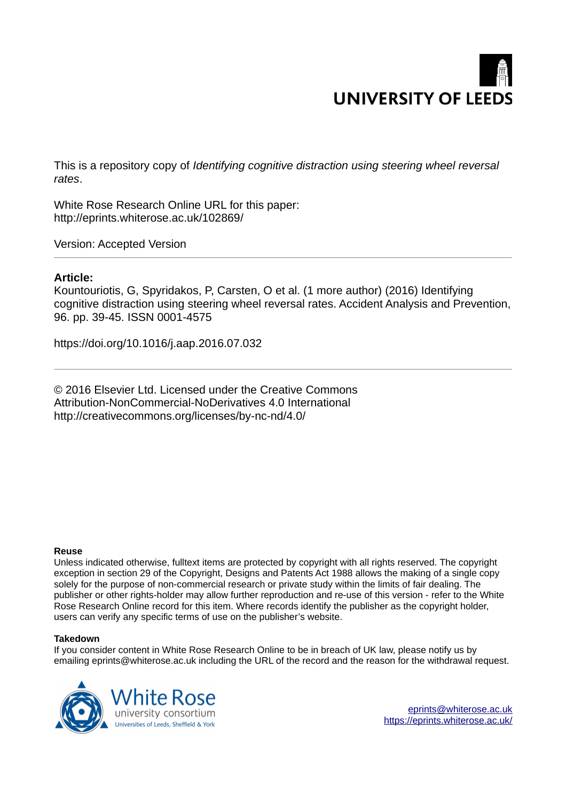

This is a repository copy of *Identifying cognitive distraction using steering wheel reversal rates*.

White Rose Research Online URL for this paper: http://eprints.whiterose.ac.uk/102869/

Version: Accepted Version

### **Article:**

Kountouriotis, G, Spyridakos, P, Carsten, O et al. (1 more author) (2016) Identifying cognitive distraction using steering wheel reversal rates. Accident Analysis and Prevention, 96. pp. 39-45. ISSN 0001-4575

https://doi.org/10.1016/j.aap.2016.07.032

© 2016 Elsevier Ltd. Licensed under the Creative Commons Attribution-NonCommercial-NoDerivatives 4.0 International http://creativecommons.org/licenses/by-nc-nd/4.0/

#### **Reuse**

Unless indicated otherwise, fulltext items are protected by copyright with all rights reserved. The copyright exception in section 29 of the Copyright, Designs and Patents Act 1988 allows the making of a single copy solely for the purpose of non-commercial research or private study within the limits of fair dealing. The publisher or other rights-holder may allow further reproduction and re-use of this version - refer to the White Rose Research Online record for this item. Where records identify the publisher as the copyright holder, users can verify any specific terms of use on the publisher's website.

#### **Takedown**

If you consider content in White Rose Research Online to be in breach of UK law, please notify us by emailing eprints@whiterose.ac.uk including the URL of the record and the reason for the withdrawal request.

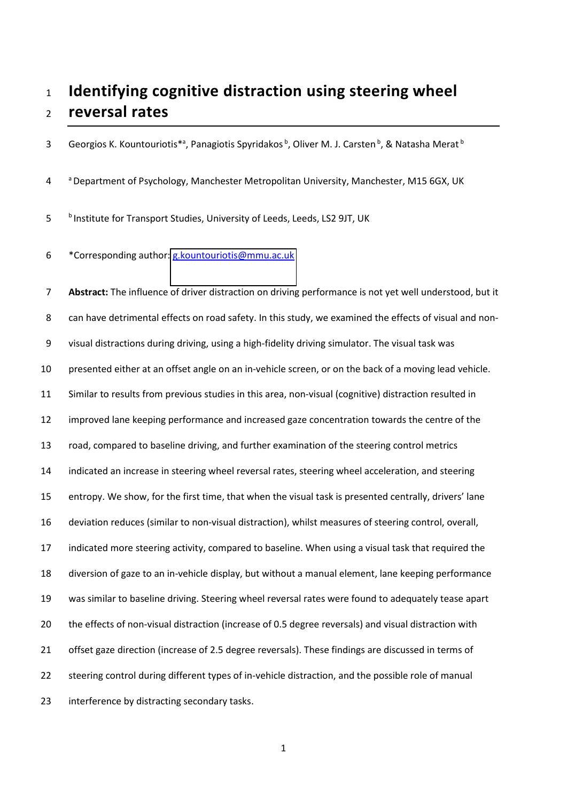# **Identifying cognitive distraction using steering wheel reversal rates**

3 Georgios K. Kountouriotis\*<sup>a</sup>, Panagiotis Spyridakos<sup>b</sup>, Oliver M. J. Carsten<sup>b</sup>, & Natasha Merat<sup>b</sup>

4 a Department of Psychology, Manchester Metropolitan University, Manchester, M15 6GX, UK

- 5 blnstitute for Transport Studies, University of Leeds, Leeds, LS2 9JT, UK
- 6 \*Corresponding author: [g.kountouriotis@mmu.ac.uk](mailto:g.kountouriotis@mmu.ac.uk)

**Abstract:** The influence of driver distraction on driving performance is not yet well understood, but it 8 can have detrimental effects on road safety. In this study, we examined the effects of visual and non-9 visual distractions during driving, using a high-fidelity driving simulator. The visual task was presented either at an offset angle on an in-vehicle screen, or on the back of a moving lead vehicle. Similar to results from previous studies in this area, non-visual (cognitive) distraction resulted in improved lane keeping performance and increased gaze concentration towards the centre of the road, compared to baseline driving, and further examination of the steering control metrics indicated an increase in steering wheel reversal rates, steering wheel acceleration, and steering 15 entropy. We show, for the first time, that when the visual task is presented centrally, drivers' lane deviation reduces (similar to non-visual distraction), whilst measures of steering control, overall, indicated more steering activity, compared to baseline. When using a visual task that required the diversion of gaze to an in-vehicle display, but without a manual element, lane keeping performance was similar to baseline driving. Steering wheel reversal rates were found to adequately tease apart the effects of non-visual distraction (increase of 0.5 degree reversals) and visual distraction with offset gaze direction (increase of 2.5 degree reversals). These findings are discussed in terms of steering control during different types of in-vehicle distraction, and the possible role of manual interference by distracting secondary tasks.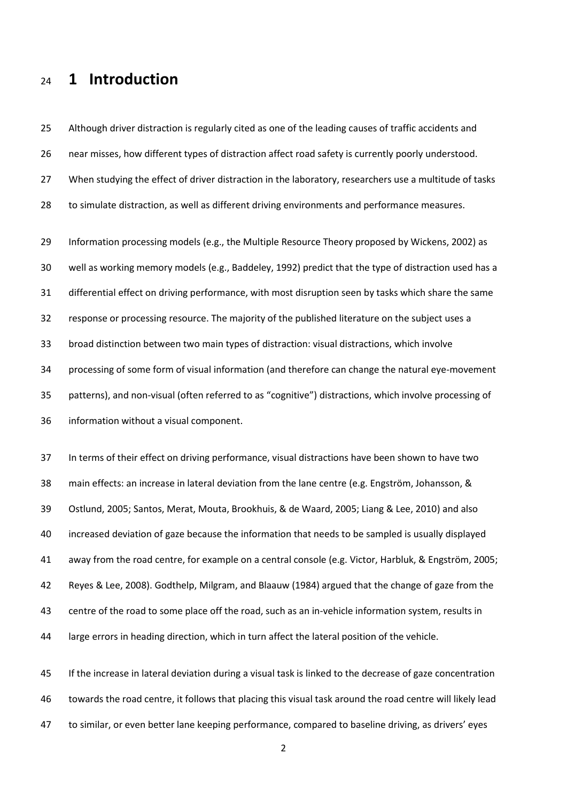## **1 Introduction**

 near misses, how different types of distraction affect road safety is currently poorly understood. 27 When studying the effect of driver distraction in the laboratory, researchers use a multitude of tasks to simulate distraction, as well as different driving environments and performance measures. Information processing models (e.g., the Multiple Resource Theory proposed by Wickens, 2002) as well as working memory models (e.g., Baddeley, 1992) predict that the type of distraction used has a differential effect on driving performance, with most disruption seen by tasks which share the same response or processing resource. The majority of the published literature on the subject uses a broad distinction between two main types of distraction: visual distractions, which involve processing of some form of visual information (and therefore can change the natural eye-movement 35 patterns), and non-visual (often referred to as "cognitive") distractions, which involve processing of information without a visual component.

Although driver distraction is regularly cited as one of the leading causes of traffic accidents and

 In terms of their effect on driving performance, visual distractions have been shown to have two 38 main effects: an increase in lateral deviation from the lane centre (e.g. Engström, Johansson, & Ostlund, 2005; Santos, Merat, Mouta, Brookhuis, & de Waard, 2005; Liang & Lee, 2010) and also increased deviation of gaze because the information that needs to be sampled is usually displayed 41 away from the road centre, for example on a central console (e.g. Victor, Harbluk, & Engström, 2005; Reyes & Lee, 2008). Godthelp, Milgram, and Blaauw (1984) argued that the change of gaze from the centre of the road to some place off the road, such as an in-vehicle information system, results in large errors in heading direction, which in turn affect the lateral position of the vehicle.

 If the increase in lateral deviation during a visual task is linked to the decrease of gaze concentration towards the road centre, it follows that placing this visual task around the road centre will likely lead 47 to similar, or even better lane keeping performance, compared to baseline driving, as drivers' eyes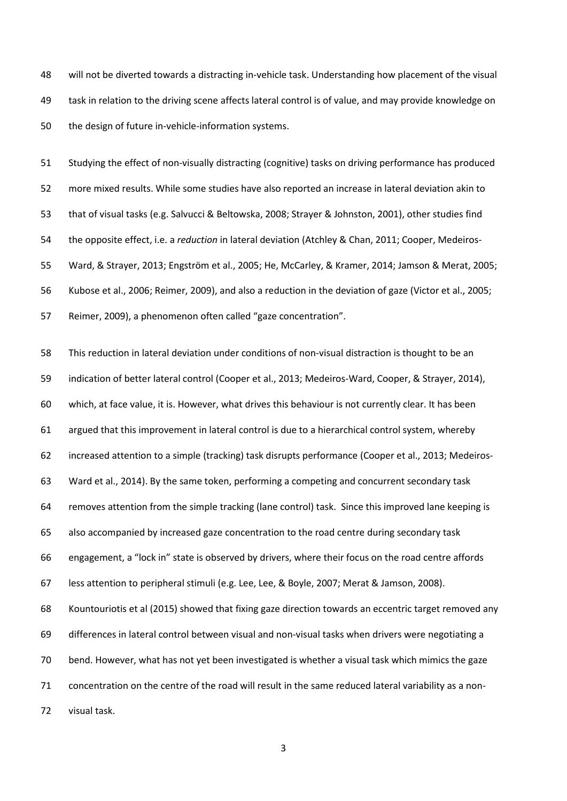will not be diverted towards a distracting in-vehicle task. Understanding how placement of the visual task in relation to the driving scene affects lateral control is of value, and may provide knowledge on the design of future in-vehicle-information systems.

 Studying the effect of non-visually distracting (cognitive) tasks on driving performance has produced more mixed results. While some studies have also reported an increase in lateral deviation akin to that of visual tasks (e.g. Salvucci & Beltowska, 2008; Strayer & Johnston, 2001), other studies find the opposite effect, i.e. a *reduction* in lateral deviation (Atchley & Chan, 2011; Cooper, Medeiros-55 Ward, & Strayer, 2013; Engström et al., 2005; He, McCarley, & Kramer, 2014; Jamson & Merat, 2005; Kubose et al., 2006; Reimer, 2009), and also a reduction in the deviation of gaze (Victor et al., 2005; 57 Reimer, 2009), a phenomenon often called "gaze concentration".

 This reduction in lateral deviation under conditions of non-visual distraction is thought to be an indication of better lateral control (Cooper et al., 2013; Medeiros-Ward, Cooper, & Strayer, 2014), which, at face value, it is. However, what drives this behaviour is not currently clear. It has been argued that this improvement in lateral control is due to a hierarchical control system, whereby increased attention to a simple (tracking) task disrupts performance (Cooper et al., 2013; Medeiros- Ward et al., 2014). By the same token, performing a competing and concurrent secondary task removes attention from the simple tracking (lane control) task. Since this improved lane keeping is also accompanied by increased gaze concentration to the road centre during secondary task 66 engagement, a "lock in" state is observed by drivers, where their focus on the road centre affords less attention to peripheral stimuli (e.g. Lee, Lee, & Boyle, 2007; Merat & Jamson, 2008). Kountouriotis et al (2015) showed that fixing gaze direction towards an eccentric target removed any differences in lateral control between visual and non-visual tasks when drivers were negotiating a bend. However, what has not yet been investigated is whether a visual task which mimics the gaze concentration on the centre of the road will result in the same reduced lateral variability as a non-visual task.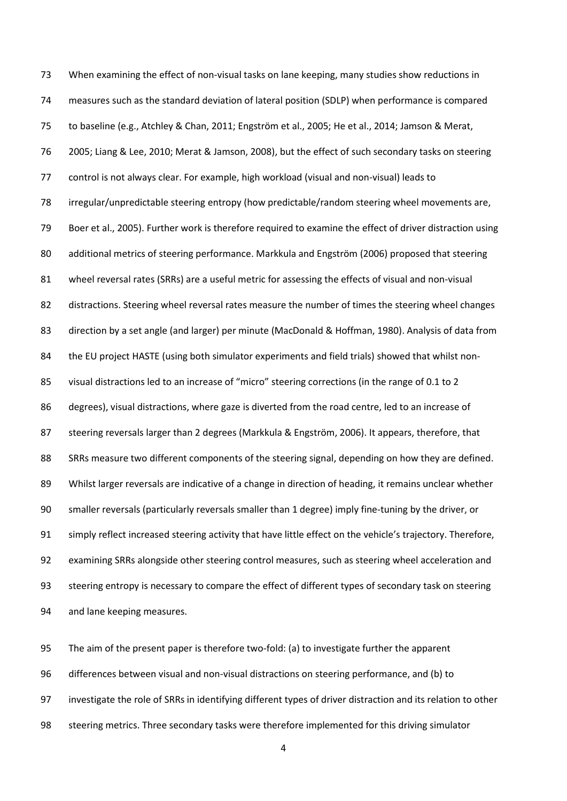When examining the effect of non-visual tasks on lane keeping, many studies show reductions in measures such as the standard deviation of lateral position (SDLP) when performance is compared 75 to baseline (e.g., Atchley & Chan, 2011; Engström et al., 2005; He et al., 2014; Jamson & Merat, 2005; Liang & Lee, 2010; Merat & Jamson, 2008), but the effect of such secondary tasks on steering control is not always clear. For example, high workload (visual and non-visual) leads to irregular/unpredictable steering entropy (how predictable/random steering wheel movements are, Boer et al., 2005). Further work is therefore required to examine the effect of driver distraction using 80 additional metrics of steering performance. Markkula and Engström (2006) proposed that steering wheel reversal rates (SRRs) are a useful metric for assessing the effects of visual and non-visual distractions. Steering wheel reversal rates measure the number of times the steering wheel changes direction by a set angle (and larger) per minute (MacDonald & Hoffman, 1980). Analysis of data from the EU project HASTE (using both simulator experiments and field trials) showed that whilst non-85 visual distractions led to an increase of "micro" steering corrections (in the range of 0.1 to 2 degrees), visual distractions, where gaze is diverted from the road centre, led to an increase of 87 steering reversals larger than 2 degrees (Markkula & Engström, 2006). It appears, therefore, that SRRs measure two different components of the steering signal, depending on how they are defined. Whilst larger reversals are indicative of a change in direction of heading, it remains unclear whether smaller reversals (particularly reversals smaller than 1 degree) imply fine-tuning by the driver, or 91 simply reflect increased steering activity that have little effect on the vehicle's trajectory. Therefore, examining SRRs alongside other steering control measures, such as steering wheel acceleration and steering entropy is necessary to compare the effect of different types of secondary task on steering and lane keeping measures.

 The aim of the present paper is therefore two-fold: (a) to investigate further the apparent differences between visual and non-visual distractions on steering performance, and (b) to investigate the role of SRRs in identifying different types of driver distraction and its relation to other steering metrics. Three secondary tasks were therefore implemented for this driving simulator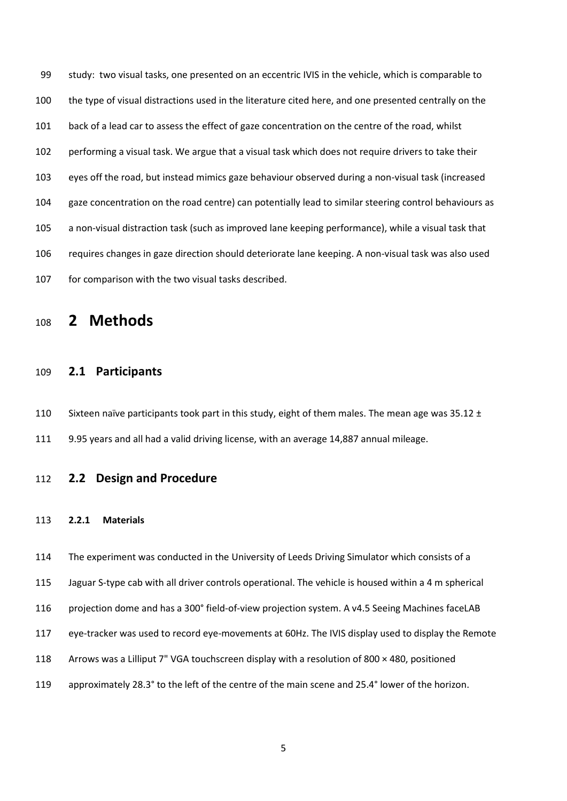study: two visual tasks, one presented on an eccentric IVIS in the vehicle, which is comparable to the type of visual distractions used in the literature cited here, and one presented centrally on the back of a lead car to assess the effect of gaze concentration on the centre of the road, whilst performing a visual task. We argue that a visual task which does not require drivers to take their eyes off the road, but instead mimics gaze behaviour observed during a non-visual task (increased gaze concentration on the road centre) can potentially lead to similar steering control behaviours as a non-visual distraction task (such as improved lane keeping performance), while a visual task that requires changes in gaze direction should deteriorate lane keeping. A non-visual task was also used 107 for comparison with the two visual tasks described.

## **2 Methods**

## **2.1 Participants**

110 Sixteen naïve participants took part in this study, eight of them males. The mean age was 35.12  $\pm$ 9.95 years and all had a valid driving license, with an average 14,887 annual mileage.

## **2.2 Design and Procedure**

#### **2.2.1 Materials**

The experiment was conducted in the University of Leeds Driving Simulator which consists of a

Jaguar S-type cab with all driver controls operational. The vehicle is housed within a 4 m spherical

- 116 projection dome and has a 300° field-of-view projection system. A v4.5 Seeing Machines faceLAB
- <span id="page-5-0"></span>eye-tracker was used to record eye-movements at 60Hz. The IVIS display used to display the Remote
- Arrows was a Lilliput 7" VGA touchscreen display with a resolution of 800 × 480, positioned
- approximately 28.3° to the left of the centre of the main scene and 25.4° lower of the horizon.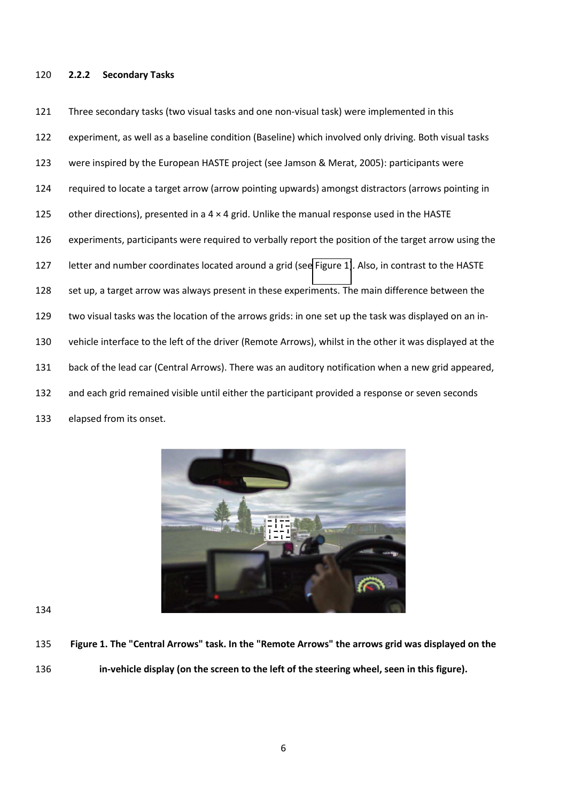#### **2.2.2 Secondary Tasks**

 Three secondary tasks (two visual tasks and one non-visual task) were implemented in this experiment, as well as a baseline condition (Baseline) which involved only driving. Both visual tasks were inspired by the European HASTE project (see Jamson & Merat, 2005): participants were required to locate a target arrow (arrow pointing upwards) amongst distractors (arrows pointing in 125 other directions), presented in a  $4 \times 4$  grid. Unlike the manual response used in the HASTE experiments, participants were required to verbally report the position of the target arrow using the letter and number coordinates located around a grid (see [Figure 1\)](#page-5-0). Also, in contrast to the HASTE set up, a target arrow was always present in these experiments. The main difference between the two visual tasks was the location of the arrows grids: in one set up the task was displayed on an in- vehicle interface to the left of the driver (Remote Arrows), whilst in the other it was displayed at the back of the lead car (Central Arrows). There was an auditory notification when a new grid appeared, and each grid remained visible until either the participant provided a response or seven seconds elapsed from its onset.



- **Figure 1. The "Central Arrows" task. In the "Remote Arrows" the arrows grid was displayed on the**
- **in-vehicle display (on the screen to the left of the steering wheel, seen in this figure).**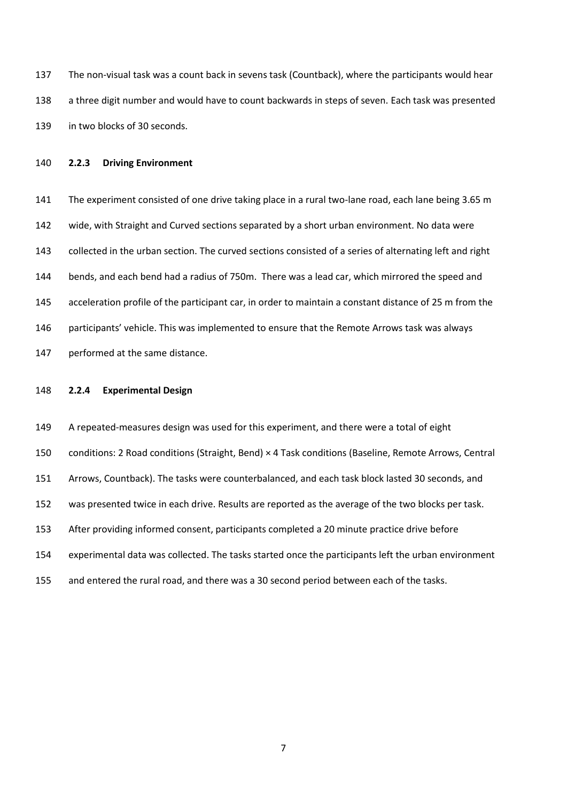The non-visual task was a count back in sevens task (Countback), where the participants would hear a three digit number and would have to count backwards in steps of seven. Each task was presented in two blocks of 30 seconds.

#### **2.2.3 Driving Environment**

<span id="page-7-0"></span>141 The experiment consisted of one drive taking place in a rural two-lane road, each lane being 3.65 m wide, with Straight and Curved sections separated by a short urban environment. No data were collected in the urban section. The curved sections consisted of a series of alternating left and right bends, and each bend had a radius of 750m. There was a lead car, which mirrored the speed and 145 acceleration profile of the participant car, in order to maintain a constant distance of 25 m from the 146 participants' vehicle. This was implemented to ensure that the Remote Arrows task was always performed at the same distance.

#### **2.2.4 Experimental Design**

 A repeated-measures design was used for this experiment, and there were a total of eight conditions: 2 Road conditions (Straight, Bend) × 4 Task conditions (Baseline, Remote Arrows, Central Arrows, Countback). The tasks were counterbalanced, and each task block lasted 30 seconds, and was presented twice in each drive. Results are reported as the average of the two blocks per task. After providing informed consent, participants completed a 20 minute practice drive before experimental data was collected. The tasks started once the participants left the urban environment and entered the rural road, and there was a 30 second period between each of the tasks.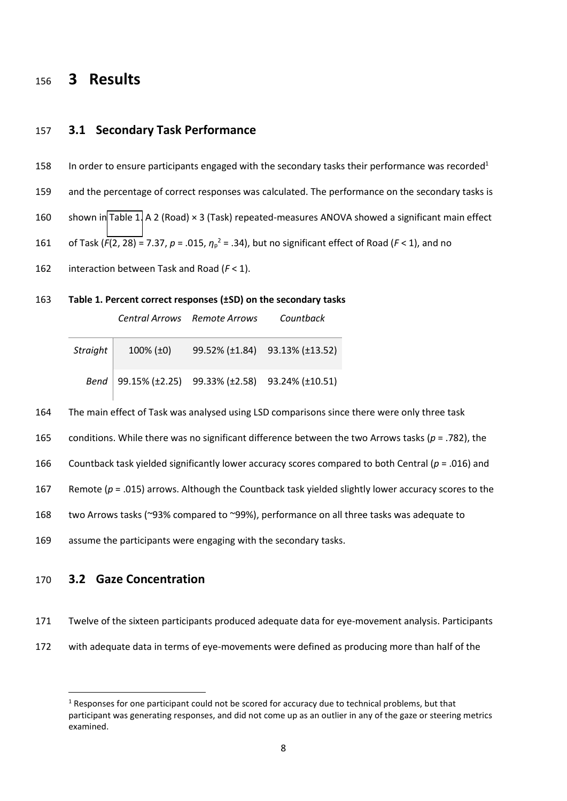## <sup>156</sup> **3 Results**

### 157 **3.1 Secondary Task Performance**

- 158 In order to ensure participants engaged with the secondary tasks their performance was recorded<sup>1</sup>
- 159 and the percentage of correct responses was calculated. The performance on the secondary tasks is
- 160 shown in [Table 1.](#page-7-0) A 2 (Road) × 3 (Task) repeated-measures ANOVA showed a significant main effect
- 161 of Task ( $F(2, 28) = 7.37$ ,  $p = .015$ ,  $\eta_p^2 = .34$ ), but no significant effect of Road ( $F < 1$ ), and no
- 162 interaction between Task and Road (*F* < 1).
- 163 **Table 1. Percent correct responses (±SD) on the secondary tasks**

*Central Arrows Remote Arrows Countback* 

| Straight $\big $ | $100\%$ ( $\pm 0$ ) | 99.52% (±1.84) 93.13% (±13.52)                       |
|------------------|---------------------|------------------------------------------------------|
|                  |                     | Bend   99.15% (±2.25) 99.33% (±2.58) 93.24% (±10.51) |

- 164 The main effect of Task was analysed using LSD comparisons since there were only three task
- 165 conditions. While there was no significant difference between the two Arrows tasks (*p* = .782), the
- 166 Countback task yielded significantly lower accuracy scores compared to both Central ( $p = .016$ ) and
- 167 Remote (*p* = .015) arrows. Although the Countback task yielded slightly lower accuracy scores to the
- 168 two Arrows tasks (~93% compared to ~99%), performance on all three tasks was adequate to
- 169 assume the participants were engaging with the secondary tasks.

## 170 **3.2 Gaze Concentration**

-

<span id="page-8-0"></span>171 Twelve of the sixteen participants produced adequate data for eye-movement analysis. Participants

172 with adequate data in terms of eye-movements were defined as producing more than half of the

 $1$  Responses for one participant could not be scored for accuracy due to technical problems, but that participant was generating responses, and did not come up as an outlier in any of the gaze or steering metrics examined.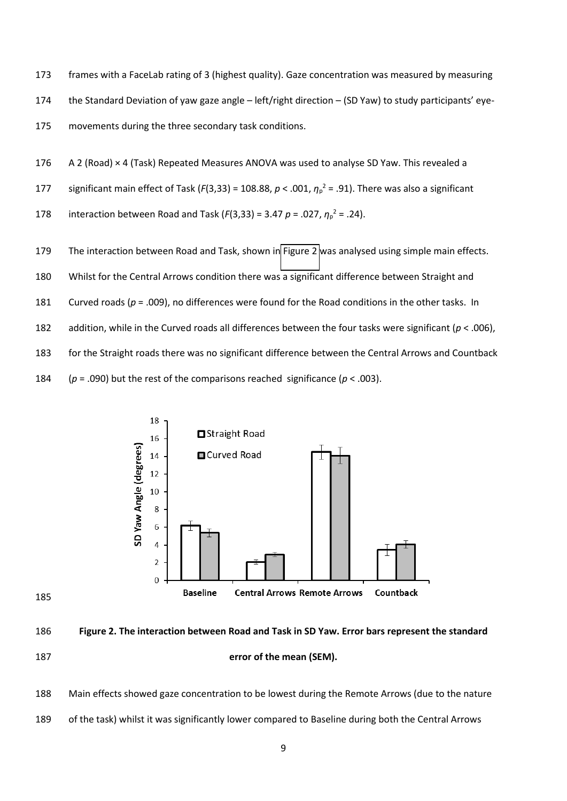frames with a FaceLab rating of 3 (highest quality). Gaze concentration was measured by measuring 174 the Standard Deviation of yaw gaze angle – left/right direction – (SD Yaw) to study participants' eye-movements during the three secondary task conditions.

- A 2 (Road) × 4 (Task) Repeated Measures ANOVA was used to analyse SD Yaw. This revealed a
- 177 significant main effect of Task ( $F(3,33) = 108.88$ ,  $p < .001$ ,  $\eta_p^2 = .91$ ). There was also a significant
- 178 interaction between Road and Task ( $F(3,33) = 3.47$   $p = .027$ ,  $\eta_p^2 = .24$ ).
- The interaction between Road and Task, shown in [Figure 2](#page-8-0) was analysed using simple main effects.
- Whilst for the Central Arrows condition there was a significant difference between Straight and
- Curved roads (*p* = .009), no differences were found for the Road conditions in the other tasks. In
- addition, while in the Curved roads all differences between the four tasks were significant (*p* < .006),

for the Straight roads there was no significant difference between the Central Arrows and Countback

184  $(p = .090)$  but the rest of the comparisons reached significance  $(p < .003)$ .



- **Figure 2. The interaction between Road and Task in SD Yaw. Error bars represent the standard error of the mean (SEM).**
- Main effects showed gaze concentration to be lowest during the Remote Arrows (due to the nature
- of the task) whilst it was significantly lower compared to Baseline during both the Central Arrows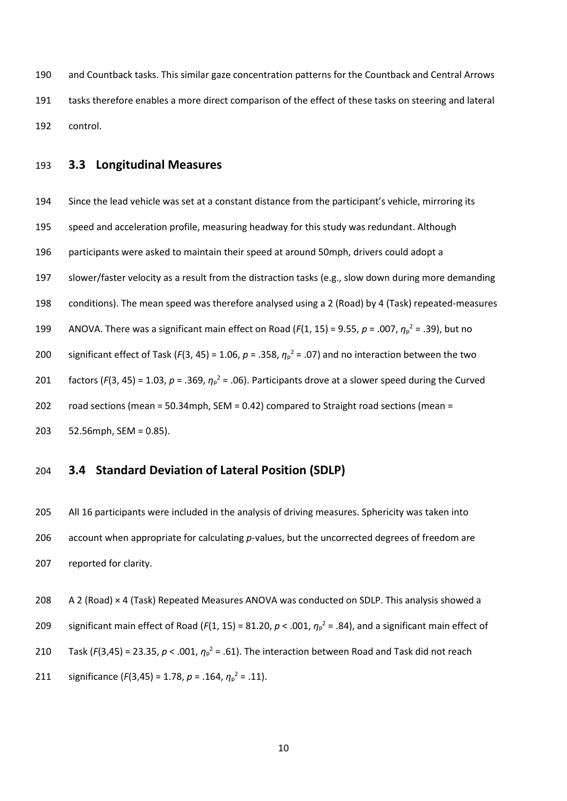and Countback tasks. This similar gaze concentration patterns for the Countback and Central Arrows tasks therefore enables a more direct comparison of the effect of these tasks on steering and lateral control.

### **3.3 Longitudinal Measures**

194 Since the lead vehicle was set at a constant distance from the participant's vehicle, mirroring its speed and acceleration profile, measuring headway for this study was redundant. Although participants were asked to maintain their speed at around 50mph, drivers could adopt a slower/faster velocity as a result from the distraction tasks (e.g., slow down during more demanding conditions). The mean speed was therefore analysed using a 2 (Road) by 4 (Task) repeated-measures 199 ANOVA. There was a significant main effect on Road ( $F(1, 15)$  = 9.55,  $p = .007$ ,  $\eta_p^2 = .39$ ), but no 200 significant effect of Task ( $F(3, 45) = 1.06$ ,  $p = .358$ ,  $\eta_p^2 = .07$ ) and no interaction between the two 201 factors ( $F(3, 45) = 1.03$ ,  $p = .369$ ,  $\eta_p^2 = .06$ ). Participants drove at a slower speed during the Curved road sections (mean = 50.34mph, SEM = 0.42) compared to Straight road sections (mean = 52.56mph, SEM = 0.85).

## **3.4 Standard Deviation of Lateral Position (SDLP)**

<span id="page-10-0"></span> All 16 participants were included in the analysis of driving measures. Sphericity was taken into account when appropriate for calculating *p*-values, but the uncorrected degrees of freedom are reported for clarity.

 A 2 (Road) × 4 (Task) Repeated Measures ANOVA was conducted on SDLP. This analysis showed a 209 significant main effect of Road ( $F(1, 15) = 81.20$ ,  $p < .001$ ,  $\eta_p^2 = .84$ ), and a significant main effect of 210 Task ( $F(3,45) = 23.35$ ,  $p < .001$ ,  $\eta_p^2 = .61$ ). The interaction between Road and Task did not reach 211 significance  $(F(3,45) = 1.78, p = .164, \eta_p^2 = .11)$ .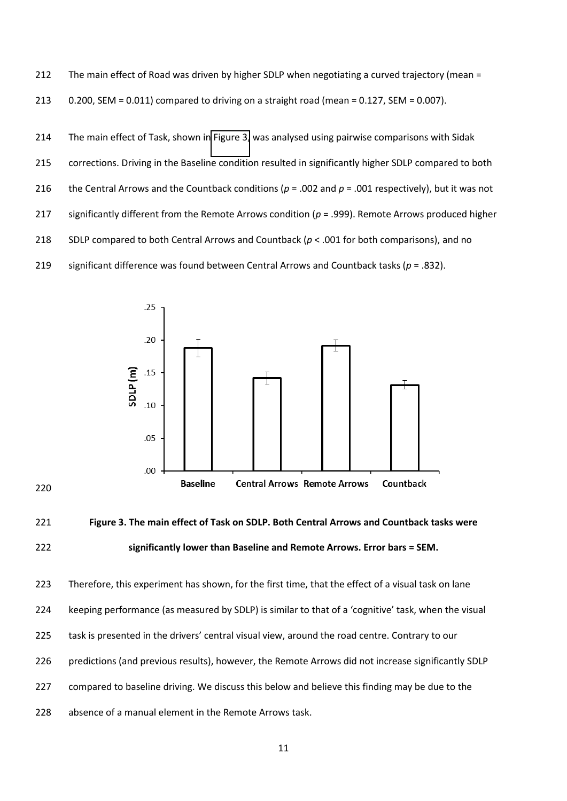The main effect of Road was driven by higher SDLP when negotiating a curved trajectory (mean = 213  $0.200$ , SEM =  $0.011$ ) compared to driving on a straight road (mean =  $0.127$ , SEM =  $0.007$ ).

 The main effect of Task, shown in [Figure 3,](#page-10-0) was analysed using pairwise comparisons with Sidak corrections. Driving in the Baseline condition resulted in significantly higher SDLP compared to both 216 the Central Arrows and the Countback conditions ( $p = .002$  and  $p = .001$  respectively), but it was not significantly different from the Remote Arrows condition (*p* = .999). Remote Arrows produced higher 218 SDLP compared to both Central Arrows and Countback ( $p < .001$  for both comparisons), and no significant difference was found between Central Arrows and Countback tasks (*p* = .832).





 Therefore, this experiment has shown, for the first time, that the effect of a visual task on lane 224 Leeping performance (as measured by SDLP) is similar to that of a 'cognitive' task, when the visual 225 task is presented in the drivers' central visual view, around the road centre. Contrary to our predictions (and previous results), however, the Remote Arrows did not increase significantly SDLP compared to baseline driving. We discuss this below and believe this finding may be due to the absence of a manual element in the Remote Arrows task.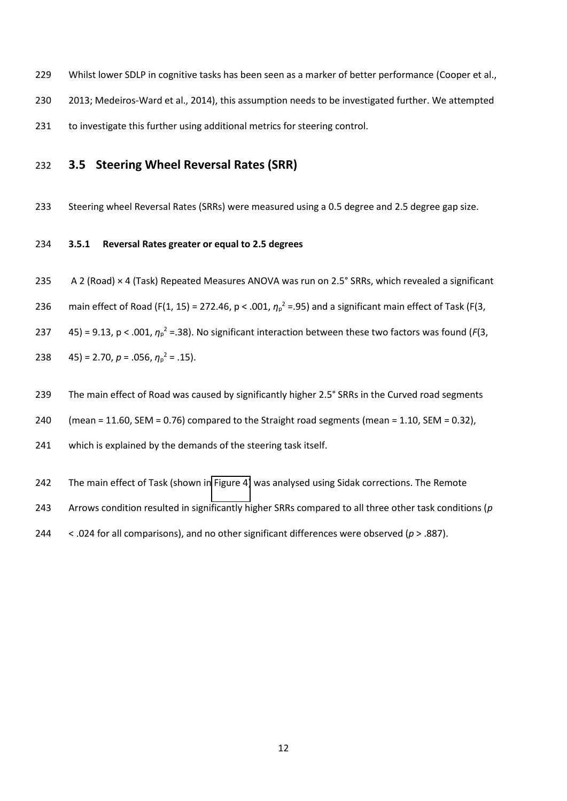- Whilst lower SDLP in cognitive tasks has been seen as a marker of better performance (Cooper et al.,
- 2013; Medeiros-Ward et al., 2014), this assumption needs to be investigated further. We attempted
- to investigate this further using additional metrics for steering control.

## **3.5 Steering Wheel Reversal Rates (SRR)**

Steering wheel Reversal Rates (SRRs) were measured using a 0.5 degree and 2.5 degree gap size.

#### **3.5.1 Reversal Rates greater or equal to 2.5 degrees**

- <span id="page-12-0"></span>235 A 2 (Road) × 4 (Task) Repeated Measures ANOVA was run on 2.5° SRRs, which revealed a significant
- 236 main effect of Road (F(1, 15) = 272.46,  $p < .001$ ,  $\eta_p^2 = .95$ ) and a significant main effect of Task (F(3,
- 237  $=$  45) = 9.13, p < .001,  $\eta_p^2$  = .38). No significant interaction between these two factors was found (*F*(3,
- 238 = 2.70,  $p = .056$ ,  $\eta_p^2 = .15$ ).
- 239 The main effect of Road was caused by significantly higher 2.5° SRRs in the Curved road segments
- (mean = 11.60, SEM = 0.76) compared to the Straight road segments (mean = 1.10, SEM = 0.32),
- which is explained by the demands of the steering task itself.
- The main effect of Task (shown i[n Figure 4\)](#page-12-0) was analysed using Sidak corrections. The Remote
- Arrows condition resulted in significantly higher SRRs compared to all three other task conditions (*p*
- < .024 for all comparisons), and no other significant differences were observed (*p* > .887).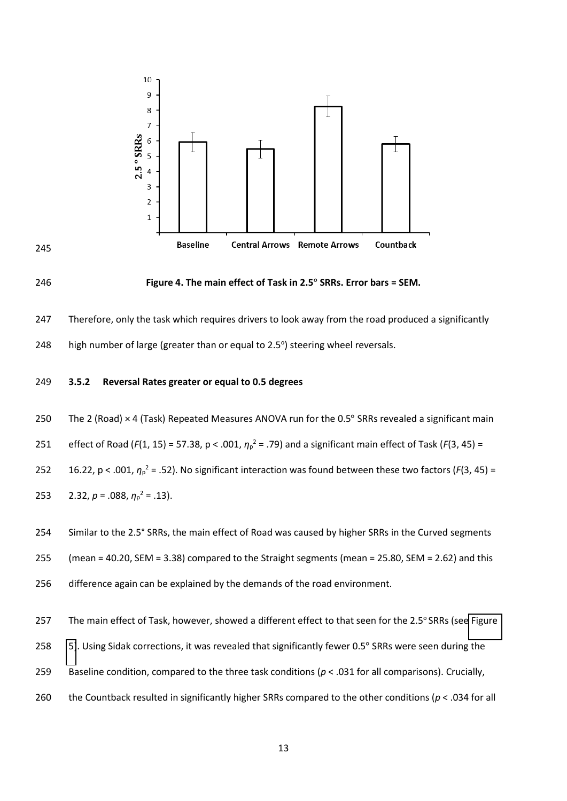





#### 246 **Figure 4. The main effect of Task in 2.5° SRRs. Error bars = SEM.**

247 Therefore, only the task which requires drivers to look away from the road produced a significantly

248 high number of large (greater than or equal to  $2.5^{\circ}$ ) steering wheel reversals.

#### <span id="page-13-0"></span>249 **3.5.2 Reversal Rates greater or equal to 0.5 degrees**

250 The 2 (Road)  $\times$  4 (Task) Repeated Measures ANOVA run for the 0.5 $^{\circ}$  SRRs revealed a significant main

251 effect of Road ( $F(1, 15) = 57.38$ ,  $p < .001$ ,  $\eta_p^2 = .79$ ) and a significant main effect of Task ( $F(3, 45) =$ 

252  $16.22$ ,  $p < .001$ ,  $\eta_p^2 = .52$ ). No significant interaction was found between these two factors ( $F(3, 45) =$ 

253  $2.32, p = .088, \eta_p^2 = .13$ .

254 Similar to the 2.5° SRRs, the main effect of Road was caused by higher SRRs in the Curved segments

255 (mean = 40.20, SEM = 3.38) compared to the Straight segments (mean = 25.80, SEM = 2.62) and this

256 difference again can be explained by the demands of the road environment.

257 The main effect of Task, however, showed a different effect to that seen for the 2.5° SRRs (see Figure

- 258 [5\)](#page-13-0). Using Sidak corrections, it was revealed that significantly fewer 0.5° SRRs were seen during the
- 259 Baseline condition, compared to the three task conditions (*p* < .031 for all comparisons). Crucially,
- 260 the Countback resulted in significantly higher SRRs compared to the other conditions (*p* < .034 for all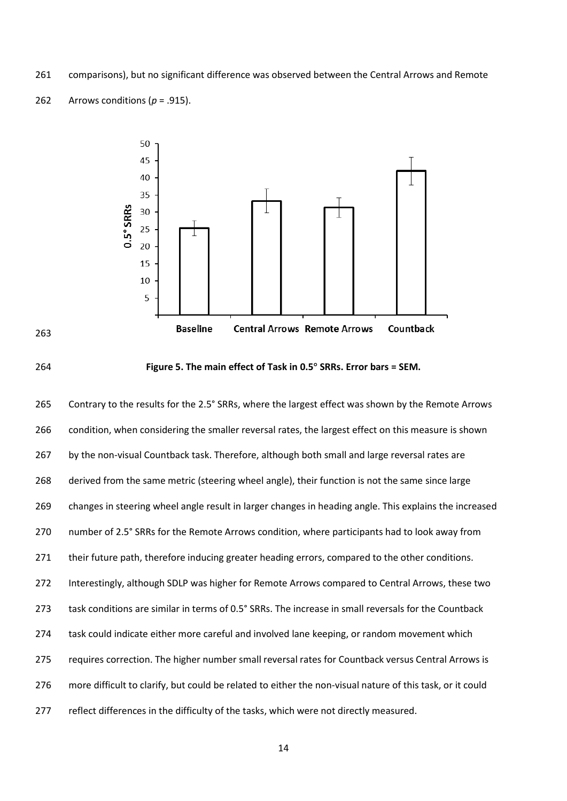comparisons), but no significant difference was observed between the Central Arrows and Remote







**Figure 5. The main effect of Task in 0.5° SRRs. Error bars = SEM.** 

<span id="page-14-0"></span> Contrary to the results for the 2.5° SRRs, where the largest effect was shown by the Remote Arrows condition, when considering the smaller reversal rates, the largest effect on this measure is shown 267 by the non-visual Countback task. Therefore, although both small and large reversal rates are derived from the same metric (steering wheel angle), their function is not the same since large changes in steering wheel angle result in larger changes in heading angle. This explains the increased number of 2.5° SRRs for the Remote Arrows condition, where participants had to look away from 271 their future path, therefore inducing greater heading errors, compared to the other conditions. Interestingly, although SDLP was higher for Remote Arrows compared to Central Arrows, these two 273 task conditions are similar in terms of 0.5° SRRs. The increase in small reversals for the Countback 274 task could indicate either more careful and involved lane keeping, or random movement which requires correction. The higher number small reversal rates for Countback versus Central Arrows is more difficult to clarify, but could be related to either the non-visual nature of this task, or it could reflect differences in the difficulty of the tasks, which were not directly measured.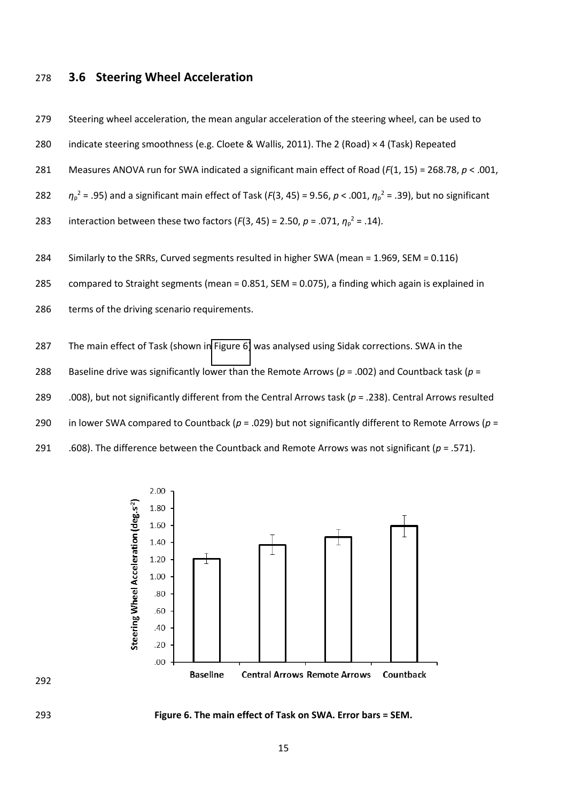### **3.6 Steering Wheel Acceleration**

279 Steering wheel acceleration, the mean angular acceleration of the steering wheel, can be used to

- indicate steering smoothness (e.g. Cloete & Wallis, 2011). The 2 (Road) × 4 (Task) Repeated
- Measures ANOVA run for SWA indicated a significant main effect of Road (*F*(1, 15) = 268.78, *p* < .001,
- 282  $\eta_p^2$  = .95) and a significant main effect of Task (*F*(3, 45) = 9.56, *p* < .001,  $\eta_p^2$  = .39), but no significant
- 283 interaction between these two factors ( $F(3, 45) = 2.50$ ,  $p = .071$ ,  $\eta_p^2 = .14$ ).
- Similarly to the SRRs, Curved segments resulted in higher SWA (mean = 1.969, SEM = 0.116)
- compared to Straight segments (mean = 0.851, SEM = 0.075), a finding which again is explained in
- 286 terms of the driving scenario requirements.
- The main effect of Task (shown i[n Figure 6\)](#page-14-0) was analysed using Sidak corrections. SWA in the
- Baseline drive was significantly lower than the Remote Arrows (*p* = .002) and Countback task (*p* =
- .008), but not significantly different from the Central Arrows task (*p* = .238). Central Arrows resulted
- in lower SWA compared to Countback (*p* = .029) but not significantly different to Remote Arrows (*p* =
- 291 .608). The difference between the Countback and Remote Arrows was not significant  $(p = .571)$ .





**Figure 6. The main effect of Task on SWA. Error bars = SEM.**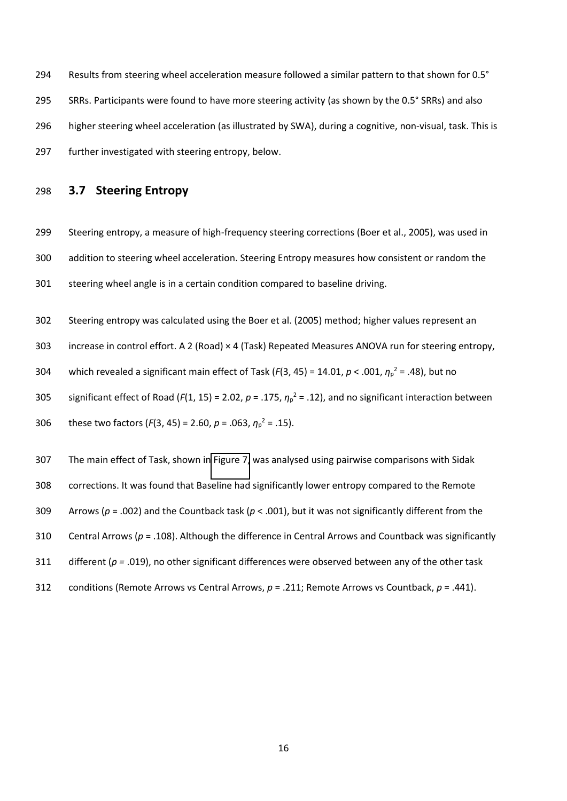Results from steering wheel acceleration measure followed a similar pattern to that shown for 0.5° SRRs. Participants were found to have more steering activity (as shown by the 0.5° SRRs) and also higher steering wheel acceleration (as illustrated by SWA), during a cognitive, non-visual, task. This is further investigated with steering entropy, below.

#### **3.7 Steering Entropy**

- Steering entropy, a measure of high-frequency steering corrections (Boer et al., 2005), was used in addition to steering wheel acceleration. Steering Entropy measures how consistent or random the steering wheel angle is in a certain condition compared to baseline driving.
- <span id="page-16-0"></span>Steering entropy was calculated using the Boer et al. (2005) method; higher values represent an
- increase in control effort. A 2 (Road) × 4 (Task) Repeated Measures ANOVA run for steering entropy,
- 304 which revealed a significant main effect of Task ( $F(3, 45) = 14.01$ ,  $p < .001$ ,  $\eta_p^2 = .48$ ), but no
- 305 significant effect of Road ( $F(1, 15) = 2.02$ ,  $p = .175$ ,  $\eta_p^2 = .12$ ), and no significant interaction between

306 these two factors (
$$
F(3, 45) = 2.60
$$
,  $p = .063$ ,  $\eta_p^2 = .15$ ).

- The main effect of Task, shown in [Figure 7,](#page-16-0) was analysed using pairwise comparisons with Sidak
- corrections. It was found that Baseline had significantly lower entropy compared to the Remote
- Arrows (*p* = .002) and the Countback task (*p* < .001), but it was not significantly different from the
- Central Arrows (*p* = .108). Although the difference in Central Arrows and Countback was significantly
- different (*p =* .019), no other significant differences were observed between any of the other task
- conditions (Remote Arrows vs Central Arrows, *p* = .211; Remote Arrows vs Countback, *p* = .441).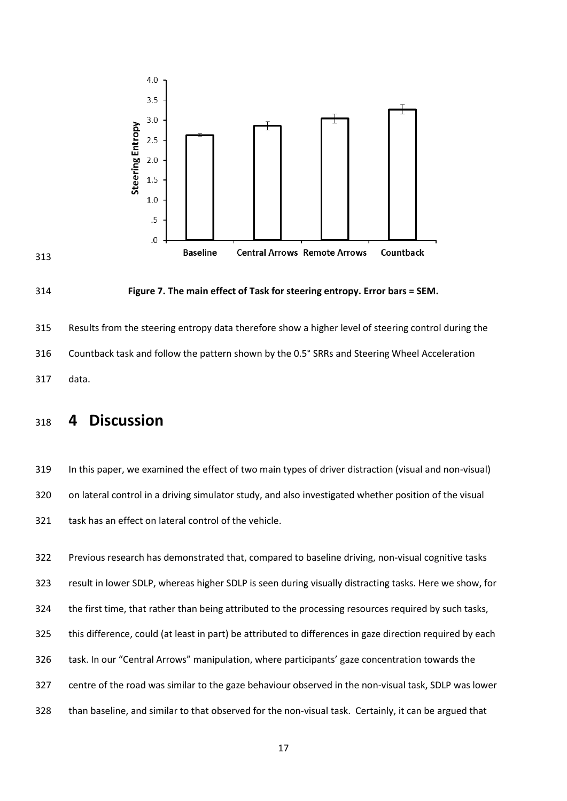





 Results from the steering entropy data therefore show a higher level of steering control during the Countback task and follow the pattern shown by the 0.5° SRRs and Steering Wheel Acceleration data.

## **4 Discussion**

 In this paper, we examined the effect of two main types of driver distraction (visual and non-visual) on lateral control in a driving simulator study, and also investigated whether position of the visual task has an effect on lateral control of the vehicle.

 Previous research has demonstrated that, compared to baseline driving, non-visual cognitive tasks result in lower SDLP, whereas higher SDLP is seen during visually distracting tasks. Here we show, for the first time, that rather than being attributed to the processing resources required by such tasks, this difference, could (at least in part) be attributed to differences in gaze direction required by each 326 task. In our "Central Arrows" manipulation, where participants' gaze concentration towards the centre of the road was similar to the gaze behaviour observed in the non-visual task, SDLP was lower than baseline, and similar to that observed for the non-visual task. Certainly, it can be argued that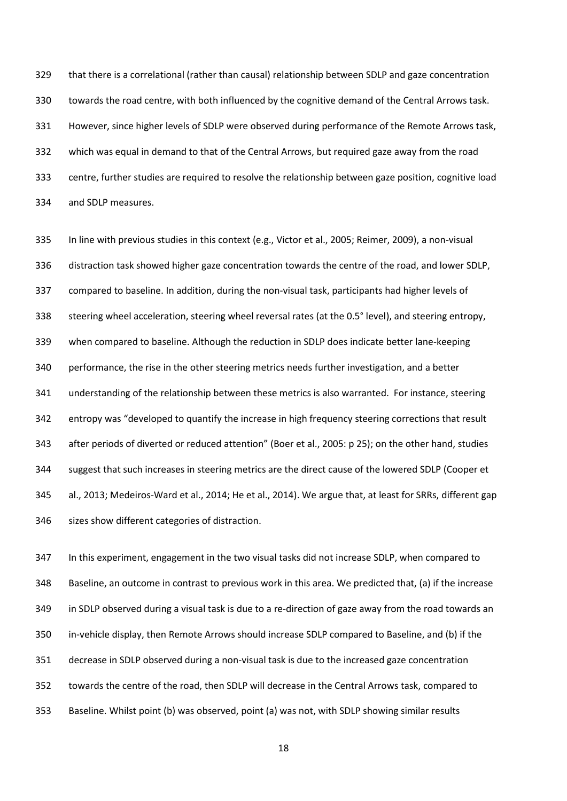that there is a correlational (rather than causal) relationship between SDLP and gaze concentration towards the road centre, with both influenced by the cognitive demand of the Central Arrows task. However, since higher levels of SDLP were observed during performance of the Remote Arrows task, which was equal in demand to that of the Central Arrows, but required gaze away from the road centre, further studies are required to resolve the relationship between gaze position, cognitive load and SDLP measures.

 In line with previous studies in this context (e.g., Victor et al., 2005; Reimer, 2009), a non-visual distraction task showed higher gaze concentration towards the centre of the road, and lower SDLP, compared to baseline. In addition, during the non-visual task, participants had higher levels of steering wheel acceleration, steering wheel reversal rates (at the 0.5° level), and steering entropy, when compared to baseline. Although the reduction in SDLP does indicate better lane-keeping performance, the rise in the other steering metrics needs further investigation, and a better understanding of the relationship between these metrics is also warranted. For instance, steering 342 entropy was "developed to quantify the increase in high frequency steering corrections that result 343 after periods of diverted or reduced attention" (Boer et al., 2005: p 25); on the other hand, studies suggest that such increases in steering metrics are the direct cause of the lowered SDLP (Cooper et al., 2013; Medeiros-Ward et al., 2014; He et al., 2014). We argue that, at least for SRRs, different gap sizes show different categories of distraction.

<span id="page-18-0"></span> In this experiment, engagement in the two visual tasks did not increase SDLP, when compared to Baseline, an outcome in contrast to previous work in this area. We predicted that, (a) if the increase in SDLP observed during a visual task is due to a re-direction of gaze away from the road towards an in-vehicle display, then Remote Arrows should increase SDLP compared to Baseline, and (b) if the decrease in SDLP observed during a non-visual task is due to the increased gaze concentration towards the centre of the road, then SDLP will decrease in the Central Arrows task, compared to Baseline. Whilst point (b) was observed, point (a) was not, with SDLP showing similar results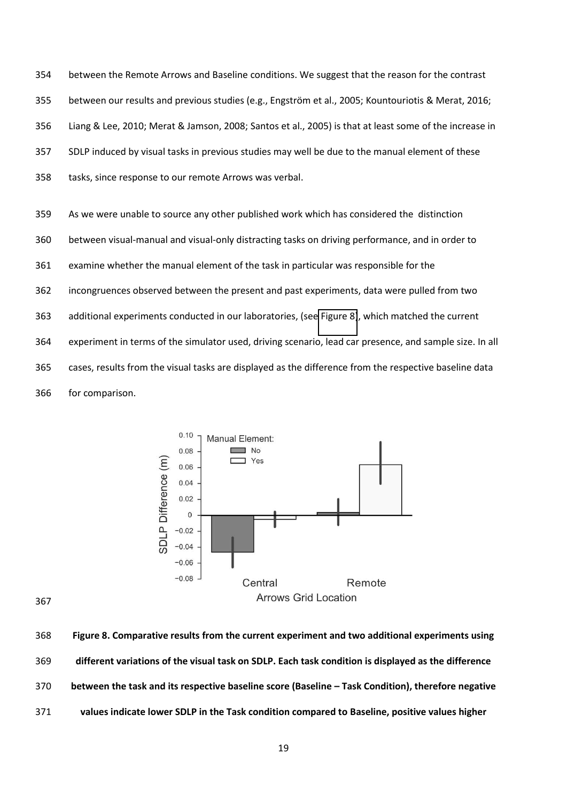between the Remote Arrows and Baseline conditions. We suggest that the reason for the contrast 355 between our results and previous studies (e.g., Engström et al., 2005; Kountouriotis & Merat, 2016; Liang & Lee, 2010; Merat & Jamson, 2008; Santos et al., 2005) is that at least some of the increase in SDLP induced by visual tasks in previous studies may well be due to the manual element of these tasks, since response to our remote Arrows was verbal.

 As we were unable to source any other published work which has considered the distinction between visual-manual and visual-only distracting tasks on driving performance, and in order to examine whether the manual element of the task in particular was responsible for the incongruences observed between the present and past experiments, data were pulled from two additional experiments conducted in our laboratories, (se[e Figure 8\)](#page-18-0), which matched the current experiment in terms of the simulator used, driving scenario, lead car presence, and sample size. In all cases, results from the visual tasks are displayed as the difference from the respective baseline data for comparison.



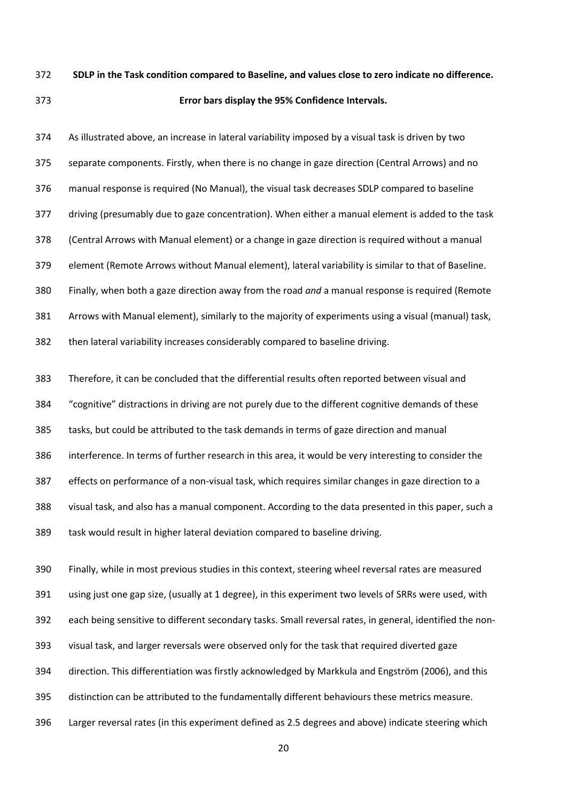## **SDLP in the Task condition compared to Baseline, and values close to zero indicate no difference. Error bars display the 95% Confidence Intervals.**

 As illustrated above, an increase in lateral variability imposed by a visual task is driven by two separate components. Firstly, when there is no change in gaze direction (Central Arrows) and no manual response is required (No Manual), the visual task decreases SDLP compared to baseline driving (presumably due to gaze concentration). When either a manual element is added to the task (Central Arrows with Manual element) or a change in gaze direction is required without a manual element (Remote Arrows without Manual element), lateral variability is similar to that of Baseline. Finally, when both a gaze direction away from the road *and* a manual response is required (Remote Arrows with Manual element), similarly to the majority of experiments using a visual (manual) task, then lateral variability increases considerably compared to baseline driving.

 Therefore, it can be concluded that the differential results often reported between visual and 384 "cognitive" distractions in driving are not purely due to the different cognitive demands of these tasks, but could be attributed to the task demands in terms of gaze direction and manual interference. In terms of further research in this area, it would be very interesting to consider the effects on performance of a non-visual task, which requires similar changes in gaze direction to a visual task, and also has a manual component. According to the data presented in this paper, such a task would result in higher lateral deviation compared to baseline driving.

 Finally, while in most previous studies in this context, steering wheel reversal rates are measured using just one gap size, (usually at 1 degree), in this experiment two levels of SRRs were used, with each being sensitive to different secondary tasks. Small reversal rates, in general, identified the non- visual task, and larger reversals were observed only for the task that required diverted gaze 394 direction. This differentiation was firstly acknowledged by Markkula and Engström (2006), and this distinction can be attributed to the fundamentally different behaviours these metrics measure. Larger reversal rates (in this experiment defined as 2.5 degrees and above) indicate steering which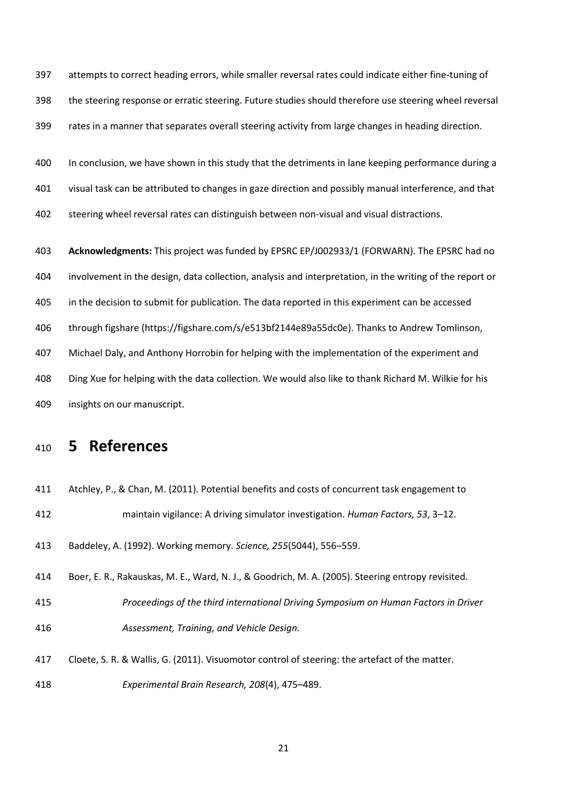attempts to correct heading errors, while smaller reversal rates could indicate either fine-tuning of the steering response or erratic steering. Future studies should therefore use steering wheel reversal rates in a manner that separates overall steering activity from large changes in heading direction.

 In conclusion, we have shown in this study that the detriments in lane keeping performance during a visual task can be attributed to changes in gaze direction and possibly manual interference, and that

steering wheel reversal rates can distinguish between non-visual and visual distractions.

 **Acknowledgments:** This project was funded by EPSRC EP/J002933/1 (FORWARN). The EPSRC had no involvement in the design, data collection, analysis and interpretation, in the writing of the report or in the decision to submit for publication. The data reported in this experiment can be accessed through figshare (https://figshare.com/s/e513bf2144e89a55dc0e). Thanks to Andrew Tomlinson, Michael Daly, and Anthony Horrobin for helping with the implementation of the experiment and Ding Xue for helping with the data collection. We would also like to thank Richard M. Wilkie for his insights on our manuscript.

## **5 References**

Atchley, P., & Chan, M. (2011). Potential benefits and costs of concurrent task engagement to

412 maintain vigilance: A driving simulator investigation. *Human Factors, 53, 3*–12.

413 Baddeley, A. (1992). Working memory. *Science, 255*(5044), 556-559.

 Boer, E. R., Rakauskas, M. E., Ward, N. J., & Goodrich, M. A. (2005). Steering entropy revisited. *Proceedings of the third international Driving Symposium on Human Factors in Driver Assessment, Training, and Vehicle Design.* 

 Cloete, S. R. & Wallis, G. (2011). Visuomotor control of steering: the artefact of the matter. *Experimental Brain Research, 208(4), 475-489.*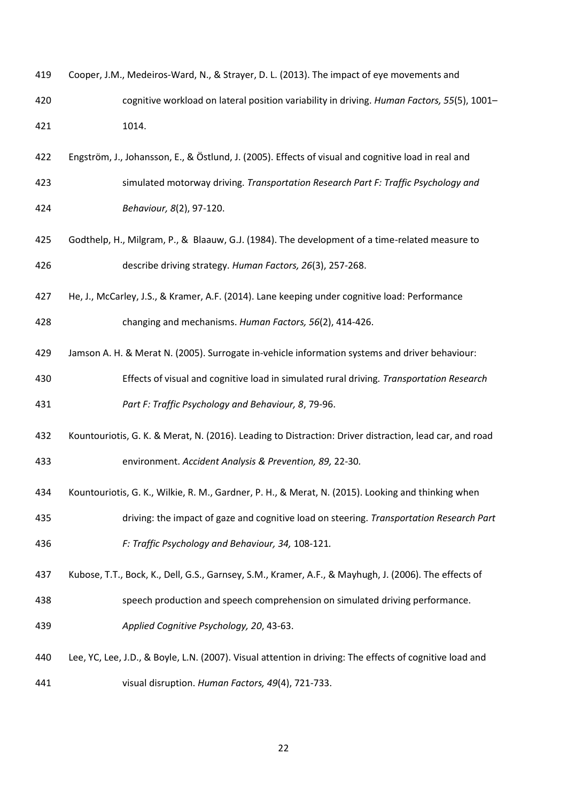- Cooper, J.M., Medeiros-Ward, N., & Strayer, D. L. (2013). The impact of eye movements and cognitive workload on lateral position variability in driving. *Human Factors, 55*(5), 1001に 1014.
- 422 Engström, J., Johansson, E., & Östlund, J. (2005). Effects of visual and cognitive load in real and simulated motorway driving. *Transportation Research Part F: Traffic Psychology and Behaviour, 8*(2), 97-120.
- Godthelp, H., Milgram, P., & Blaauw, G.J. (1984). The development of a time-related measure to describe driving strategy. *Human Factors, 26*(3), 257-268.
- He, J., McCarley, J.S., & Kramer, A.F. (2014). Lane keeping under cognitive load: Performance

changing and mechanisms. *Human Factors, 56*(2), 414-426.

- Jamson A. H. & Merat N. (2005). Surrogate in-vehicle information systems and driver behaviour:
- Effects of visual and cognitive load in simulated rural driving*. Transportation Research Part F: Traffic Psychology and Behaviour, 8*, 79-96.
- Kountouriotis, G. K. & Merat, N. (2016). Leading to Distraction: Driver distraction, lead car, and road environment. *Accident Analysis & Prevention, 89,* 22-30*.*
- Kountouriotis, G. K., Wilkie, R. M., Gardner, P. H., & Merat, N. (2015). Looking and thinking when
- driving: the impact of gaze and cognitive load on steering. *Transportation Research Part F: Traffic Psychology and Behaviour, 34,* 108-121*.*
- Kubose, T.T., Bock, K., Dell, G.S., Garnsey, S.M., Kramer, A.F., & Mayhugh, J. (2006). The effects of
- speech production and speech comprehension on simulated driving performance. *Applied Cognitive Psychology, 20*, 43-63.
- Lee, YC, Lee, J.D., & Boyle, L.N. (2007). Visual attention in driving: The effects of cognitive load and visual disruption. *Human Factors, 49*(4), 721-733.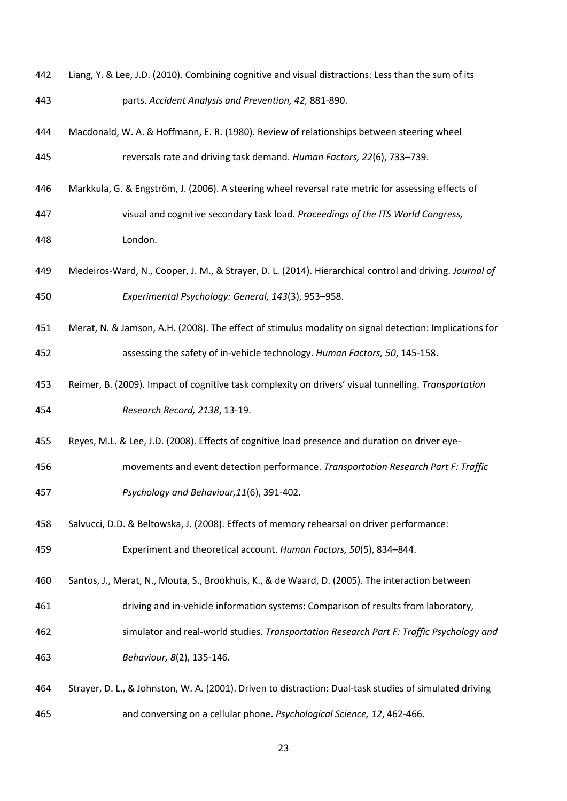- Liang, Y. & Lee, J.D. (2010). Combining cognitive and visual distractions: Less than the sum of its parts. *Accident Analysis and Prevention, 42,* 881-890.
- Macdonald, W. A. & Hoffmann, E. R. (1980). Review of relationships between steering wheel 445 reversals rate and driving task demand. *Human Factors, 22*(6), 733–739.
- 446 Markkula, G. & Engström, J. (2006). A steering wheel reversal rate metric for assessing effects of visual and cognitive secondary task load. *Proceedings of the ITS World Congress,*  London.
- Medeiros-Ward, N., Cooper, J. M., & Strayer, D. L. (2014). Hierarchical control and driving. *Journal of Experimental Psychology: General, 143*(3), 953-958.
- Merat, N. & Jamson, A.H. (2008). The effect of stimulus modality on signal detection: Implications for assessing the safety of in-vehicle technology. *Human Factors, 50*, 145-158.
- 453 Reimer, B. (2009). Impact of cognitive task complexity on drivers' visual tunnelling. Transportation *Research Record, 2138*, 13-19.
- Reyes, M.L. & Lee, J.D. (2008). Effects of cognitive load presence and duration on driver eye-
- movements and event detection performance. *Transportation Research Part F: Traffic Psychology and Behaviour,11*(6), 391-402.
- Salvucci, D.D. & Beltowska, J. (2008). Effects of memory rehearsal on driver performance:

**Experiment and theoretical account.** *Human Factors, 50*(5), 834–844.

Santos, J., Merat, N., Mouta, S., Brookhuis, K., & de Waard, D. (2005). The interaction between

- driving and in-vehicle information systems: Comparison of results from laboratory,
- simulator and real-world studies. *Transportation Research Part F: Traffic Psychology and Behaviour, 8*(2), 135-146.
- Strayer, D. L., & Johnston, W. A. (2001). Driven to distraction: Dual-task studies of simulated driving and conversing on a cellular phone. *Psychological Science, 12*, 462-466.